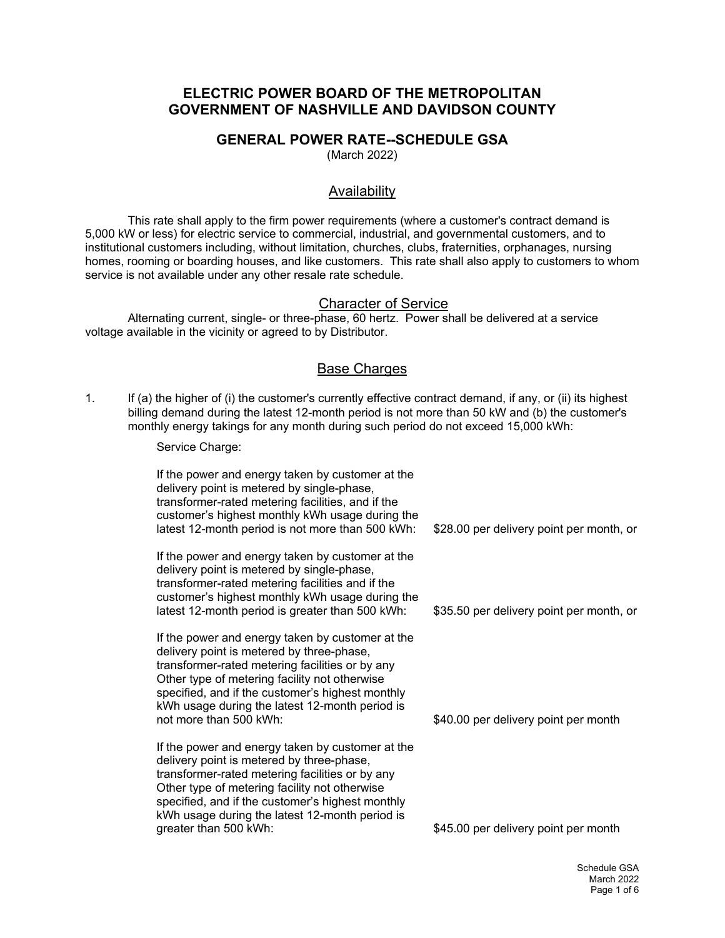# **ELECTRIC POWER BOARD OF THE METROPOLITAN GOVERNMENT OF NASHVILLE AND DAVIDSON COUNTY**

#### **GENERAL POWER RATE--SCHEDULE GSA**

(March 2022)

## Availability

This rate shall apply to the firm power requirements (where a customer's contract demand is 5,000 kW or less) for electric service to commercial, industrial, and governmental customers, and to institutional customers including, without limitation, churches, clubs, fraternities, orphanages, nursing homes, rooming or boarding houses, and like customers. This rate shall also apply to customers to whom service is not available under any other resale rate schedule.

#### Character of Service

Alternating current, single- or three-phase, 60 hertz. Power shall be delivered at a service voltage available in the vicinity or agreed to by Distributor.

## Base Charges

1. If (a) the higher of (i) the customer's currently effective contract demand, if any, or (ii) its highest billing demand during the latest 12-month period is not more than 50 kW and (b) the customer's monthly energy takings for any month during such period do not exceed 15,000 kWh:

Service Charge:

If the power and energy taken by customer at the delivery point is metered by single-phase, transformer-rated metering facilities, and if the customer's highest monthly kWh usage during the latest 12-month period is not more than 500 kWh: If the power and energy taken by customer at the delivery point is metered by single-phase, transformer-rated metering facilities and if the customer's highest monthly kWh usage during the latest 12-month period is greater than 500 kWh: If the power and energy taken by customer at the delivery point is metered by three-phase, transformer-rated metering facilities or by any Other type of metering facility not otherwise specified, and if the customer's highest monthly kWh usage during the latest 12-month period is not more than 500 kWh: If the power and energy taken by customer at the delivery point is metered by three-phase, transformer-rated metering facilities or by any Other type of metering facility not otherwise specified, and if the customer's highest monthly kWh usage during the latest 12-month period is greater than 500 kWh: \$28.00 per delivery point per month, or \$35.50 per delivery point per month, or \$40.00 per delivery point per month \$45.00 per delivery point per month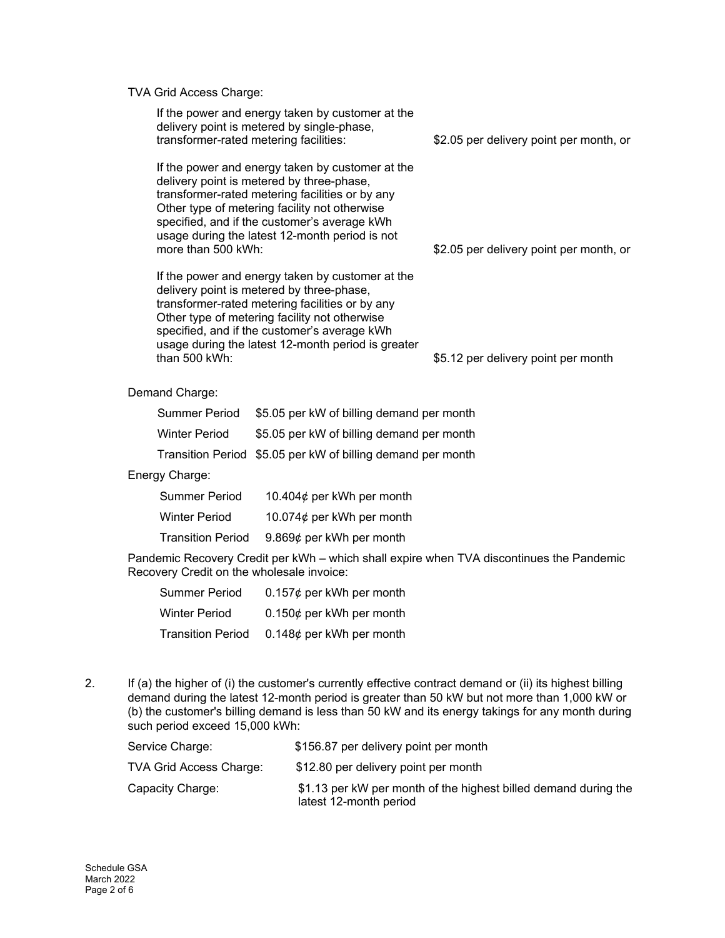TVA Grid Access Charge:

| If the power and energy taken by customer at the<br>delivery point is metered by single-phase,<br>transformer-rated metering facilities:                                                                                                                                                                                   | \$2.05 per delivery point per month, or |
|----------------------------------------------------------------------------------------------------------------------------------------------------------------------------------------------------------------------------------------------------------------------------------------------------------------------------|-----------------------------------------|
| If the power and energy taken by customer at the<br>delivery point is metered by three-phase,<br>transformer-rated metering facilities or by any<br>Other type of metering facility not otherwise<br>specified, and if the customer's average kWh<br>usage during the latest 12-month period is not<br>more than 500 kWh:  | \$2.05 per delivery point per month, or |
| If the power and energy taken by customer at the<br>delivery point is metered by three-phase,<br>transformer-rated metering facilities or by any<br>Other type of metering facility not otherwise<br>specified, and if the customer's average kWh<br>usage during the latest 12-month period is greater<br>than $500$ kWh: | \$5.12 per delivery point per month     |
| Demand Charge:                                                                                                                                                                                                                                                                                                             |                                         |
| \$5.05 per kW of billing demand per month<br>Summer Period                                                                                                                                                                                                                                                                 |                                         |

| <b>Winter Period</b> | \$5.05 per kW of billing demand per month |
|----------------------|-------------------------------------------|
|----------------------|-------------------------------------------|

Transition Period \$5.05 per kW of billing demand per month

Energy Charge:

| <b>Summer Period</b>     | 10.404 $\phi$ per kWh per month |
|--------------------------|---------------------------------|
| <b>Winter Period</b>     | 10.074 $\phi$ per kWh per month |
| <b>Transition Period</b> | 9.869 $¢$ per kWh per month     |

Pandemic Recovery Credit per kWh – which shall expire when TVA discontinues the Pandemic Recovery Credit on the wholesale invoice:

| Summer Period            | $0.157¢$ per kWh per month  |
|--------------------------|-----------------------------|
| <b>Winter Period</b>     | $0.150¢$ per kWh per month  |
| <b>Transition Period</b> | 0.148 $¢$ per kWh per month |

2. If (a) the higher of (i) the customer's currently effective contract demand or (ii) its highest billing demand during the latest 12-month period is greater than 50 kW but not more than 1,000 kW or (b) the customer's billing demand is less than 50 kW and its energy takings for any month during such period exceed 15,000 kWh:

| Service Charge:         | \$156.87 per delivery point per month                                                     |
|-------------------------|-------------------------------------------------------------------------------------------|
| TVA Grid Access Charge: | \$12.80 per delivery point per month                                                      |
| Capacity Charge:        | \$1.13 per kW per month of the highest billed demand during the<br>latest 12-month period |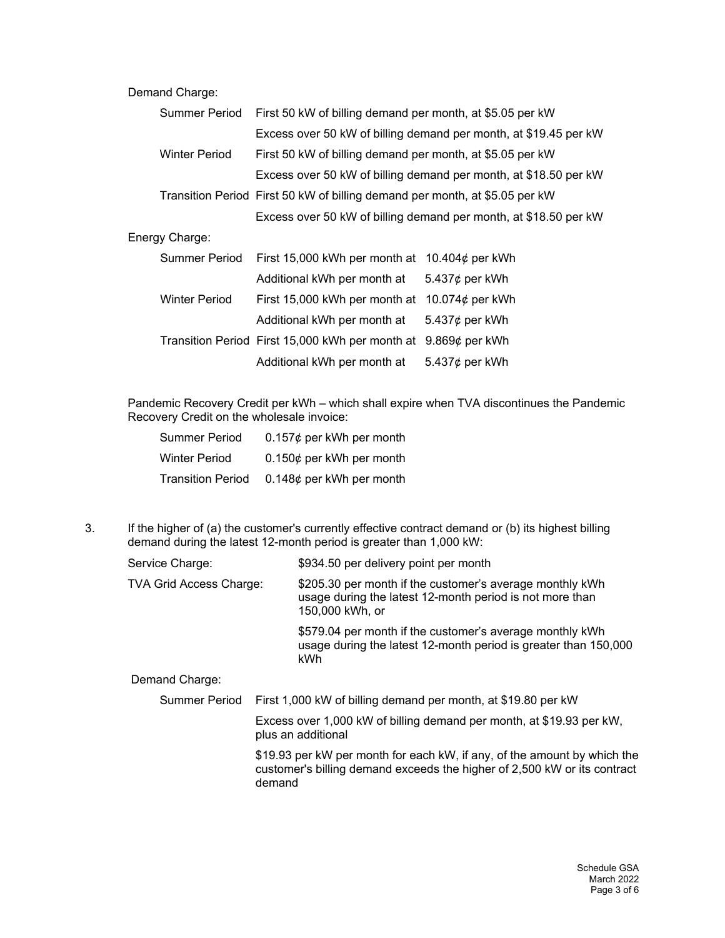#### Demand Charge:

| <b>Summer Period</b> | First 50 kW of billing demand per month, at \$5.05 per kW                   |                                                                  |
|----------------------|-----------------------------------------------------------------------------|------------------------------------------------------------------|
|                      |                                                                             | Excess over 50 kW of billing demand per month, at \$19.45 per kW |
| <b>Winter Period</b> | First 50 kW of billing demand per month, at \$5.05 per kW                   |                                                                  |
|                      |                                                                             | Excess over 50 kW of billing demand per month, at \$18.50 per kW |
|                      | Transition Period First 50 kW of billing demand per month, at \$5.05 per kW |                                                                  |
|                      |                                                                             | Excess over 50 kW of billing demand per month, at \$18.50 per kW |
| Energy Charge:       |                                                                             |                                                                  |
| Summer Period        | First 15,000 kWh per month at                                               | 10.404¢ per kWh                                                  |
|                      | Additional kWh per month at                                                 | 5.437 $\phi$ per kWh                                             |
| <b>Winter Period</b> | First 15,000 kWh per month at                                               | 10.074 $\phi$ per kWh                                            |
|                      | Additional kWh per month at                                                 | 5.437 $\phi$ per kWh                                             |
|                      | Transition Period First 15,000 kWh per month at                             | 9.869 $\phi$ per kWh                                             |
|                      | Additional kWh per month at                                                 | 5.437 $\phi$ per kWh                                             |

Pandemic Recovery Credit per kWh – which shall expire when TVA discontinues the Pandemic Recovery Credit on the wholesale invoice:

| Summer Period            | $0.157¢$ per kWh per month |
|--------------------------|----------------------------|
| <b>Winter Period</b>     | $0.150¢$ per kWh per month |
| <b>Transition Period</b> | $0.148¢$ per kWh per month |

3. If the higher of (a) the customer's currently effective contract demand or (b) its highest billing demand during the latest 12-month period is greater than 1,000 kW:

| Service Charge:         | \$934.50 per delivery point per month                                                                                                                          |  |
|-------------------------|----------------------------------------------------------------------------------------------------------------------------------------------------------------|--|
| TVA Grid Access Charge: | \$205.30 per month if the customer's average monthly kWh<br>usage during the latest 12-month period is not more than<br>150,000 kWh, or                        |  |
|                         | \$579.04 per month if the customer's average monthly kWh<br>usage during the latest 12-month period is greater than 150,000<br>kWh                             |  |
| Demand Charge:          |                                                                                                                                                                |  |
| Summer Period           | First 1,000 kW of billing demand per month, at \$19.80 per kW                                                                                                  |  |
|                         | Excess over 1,000 kW of billing demand per month, at \$19.93 per kW,<br>plus an additional                                                                     |  |
|                         | \$19.93 per kW per month for each kW, if any, of the amount by which the<br>customer's billing demand exceeds the higher of 2,500 kW or its contract<br>demand |  |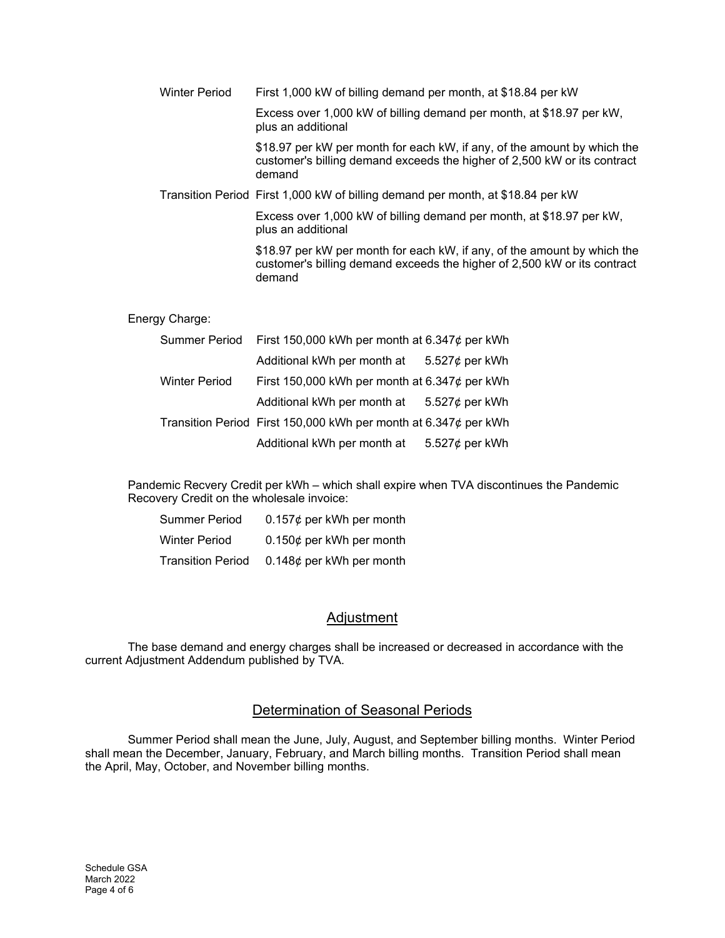| <b>Winter Period</b> | First 1,000 kW of billing demand per month, at \$18.84 per kW                                                                                                  |
|----------------------|----------------------------------------------------------------------------------------------------------------------------------------------------------------|
|                      | Excess over 1,000 kW of billing demand per month, at \$18.97 per kW,<br>plus an additional                                                                     |
|                      | \$18.97 per kW per month for each kW, if any, of the amount by which the<br>customer's billing demand exceeds the higher of 2,500 kW or its contract<br>demand |
|                      | Transition Period First 1,000 kW of billing demand per month, at \$18.84 per kW                                                                                |
|                      | Excess over 1,000 kW of billing demand per month, at \$18.97 per kW,<br>plus an additional                                                                     |
|                      | \$18.97 per kW per month for each kW, if any, of the amount by which the<br>customer's billing demand exceeds the higher of 2,500 kW or its contract<br>demand |
| Energy Charge:       |                                                                                                                                                                |
| Summer Period        | First 150,000 kWh per month at 6.347 $\phi$ per kWh                                                                                                            |

|                      | Additional kWh per month at                                     | 5.527 $\phi$ per kWh |
|----------------------|-----------------------------------------------------------------|----------------------|
| <b>Winter Period</b> | First 150,000 kWh per month at $6.347¢$ per kWh                 |                      |
|                      | Additional kWh per month at $5.527¢$ per kWh                    |                      |
|                      | Transition Period First 150,000 kWh per month at 6.347¢ per kWh |                      |
|                      | Additional kWh per month at                                     | 5.527¢ per kWh       |

Pandemic Recvery Credit per kWh – which shall expire when TVA discontinues the Pandemic Recovery Credit on the wholesale invoice:

| Summer Period            | $0.157¢$ per kWh per month |
|--------------------------|----------------------------|
| <b>Winter Period</b>     | $0.150¢$ per kWh per month |
| <b>Transition Period</b> | $0.148¢$ per kWh per month |

## **Adjustment**

The base demand and energy charges shall be increased or decreased in accordance with the current Adjustment Addendum published by TVA.

## Determination of Seasonal Periods

Summer Period shall mean the June, July, August, and September billing months. Winter Period shall mean the December, January, February, and March billing months. Transition Period shall mean the April, May, October, and November billing months.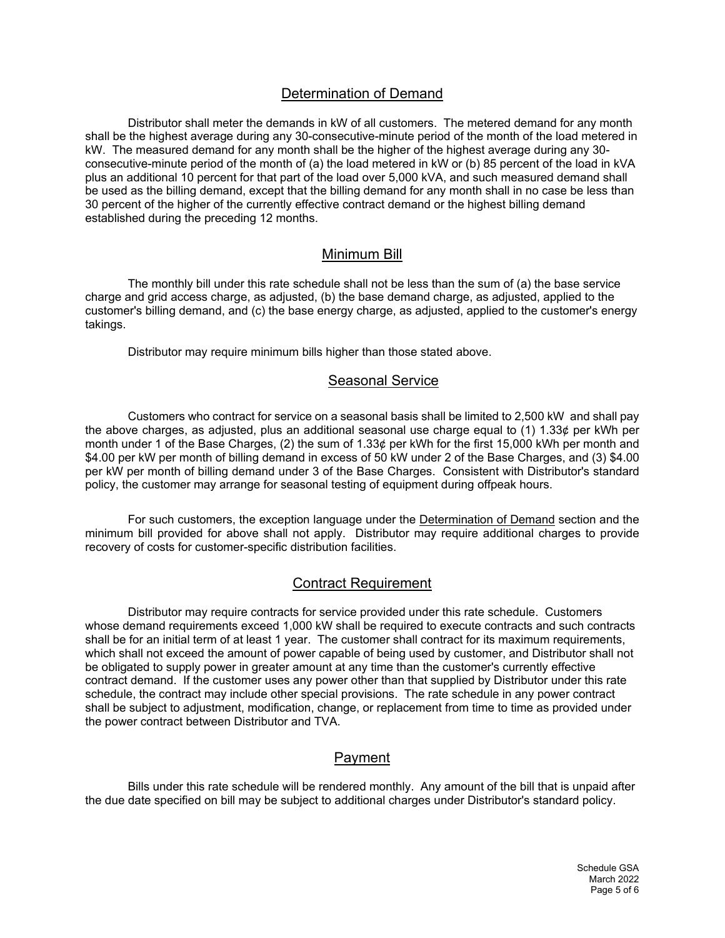# Determination of Demand

Distributor shall meter the demands in kW of all customers. The metered demand for any month shall be the highest average during any 30-consecutive-minute period of the month of the load metered in kW. The measured demand for any month shall be the higher of the highest average during any 30 consecutive-minute period of the month of (a) the load metered in kW or (b) 85 percent of the load in kVA plus an additional 10 percent for that part of the load over 5,000 kVA, and such measured demand shall be used as the billing demand, except that the billing demand for any month shall in no case be less than 30 percent of the higher of the currently effective contract demand or the highest billing demand established during the preceding 12 months.

#### Minimum Bill

The monthly bill under this rate schedule shall not be less than the sum of (a) the base service charge and grid access charge, as adjusted, (b) the base demand charge, as adjusted, applied to the customer's billing demand, and (c) the base energy charge, as adjusted, applied to the customer's energy takings.

Distributor may require minimum bills higher than those stated above.

#### Seasonal Service

Customers who contract for service on a seasonal basis shall be limited to 2,500 kW and shall pay the above charges, as adjusted, plus an additional seasonal use charge equal to (1) 1.33¢ per kWh per month under 1 of the Base Charges, (2) the sum of 1.33¢ per kWh for the first 15,000 kWh per month and \$4.00 per kW per month of billing demand in excess of 50 kW under 2 of the Base Charges, and (3) \$4.00 per kW per month of billing demand under 3 of the Base Charges. Consistent with Distributor's standard policy, the customer may arrange for seasonal testing of equipment during offpeak hours.

For such customers, the exception language under the **Determination of Demand** section and the minimum bill provided for above shall not apply. Distributor may require additional charges to provide recovery of costs for customer-specific distribution facilities.

## Contract Requirement

Distributor may require contracts for service provided under this rate schedule. Customers whose demand requirements exceed 1,000 kW shall be required to execute contracts and such contracts shall be for an initial term of at least 1 year. The customer shall contract for its maximum requirements, which shall not exceed the amount of power capable of being used by customer, and Distributor shall not be obligated to supply power in greater amount at any time than the customer's currently effective contract demand. If the customer uses any power other than that supplied by Distributor under this rate schedule, the contract may include other special provisions. The rate schedule in any power contract shall be subject to adjustment, modification, change, or replacement from time to time as provided under the power contract between Distributor and TVA.

## Payment

Bills under this rate schedule will be rendered monthly. Any amount of the bill that is unpaid after the due date specified on bill may be subject to additional charges under Distributor's standard policy.